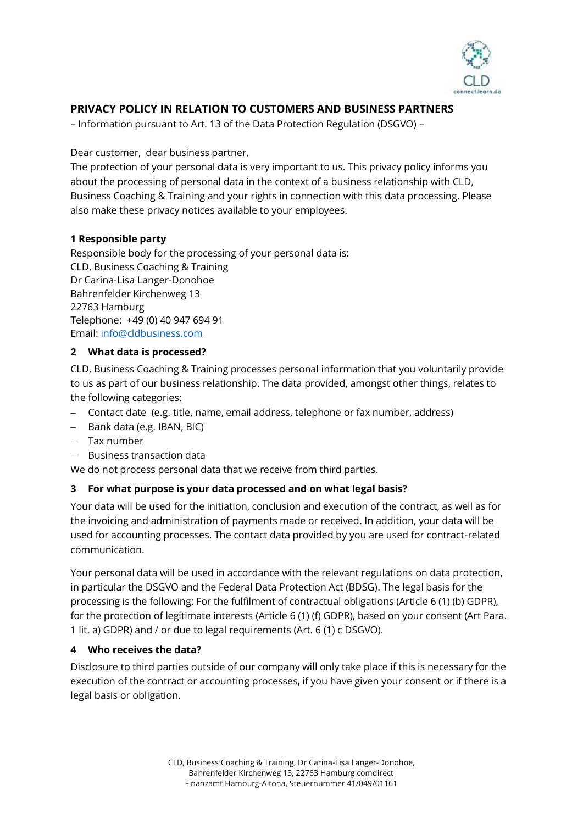

# **PRIVACY POLICY IN RELATION TO CUSTOMERS AND BUSINESS PARTNERS**

– Information pursuant to Art. 13 of the Data Protection Regulation (DSGVO) –

Dear customer, dear business partner,

The protection of your personal data is very important to us. This privacy policy informs you about the processing of personal data in the context of a business relationship with CLD, Business Coaching & Training and your rights in connection with this data processing. Please also make these privacy notices available to your employees.

## **1 Responsible party**

Responsible body for the processing of your personal data is: CLD, Business Coaching & Training Dr Carina-Lisa Langer-Donohoe Bahrenfelder Kirchenweg 13 22763 Hamburg Telephone: +49 (0) 40 947 694 91 Email[: info@cldbusiness.com](mailto:info@cldbusiness.com)

## **2 What data is processed?**

CLD, Business Coaching & Training processes personal information that you voluntarily provide to us as part of our business relationship. The data provided, amongst other things, relates to the following categories:

- − Contact date (e.g. title, name, email address, telephone or fax number, address)
- − Bank data (e.g. IBAN, BIC)
- − Tax number
- − Business transaction data

We do not process personal data that we receive from third parties.

## **3 For what purpose is your data processed and on what legal basis?**

Your data will be used for the initiation, conclusion and execution of the contract, as well as for the invoicing and administration of payments made or received. In addition, your data will be used for accounting processes. The contact data provided by you are used for contract-related communication.

Your personal data will be used in accordance with the relevant regulations on data protection, in particular the DSGVO and the Federal Data Protection Act (BDSG). The legal basis for the processing is the following: For the fulfilment of contractual obligations (Article 6 (1) (b) GDPR), for the protection of legitimate interests (Article 6 (1) (f) GDPR), based on your consent (Art Para. 1 lit. a) GDPR) and / or due to legal requirements (Art. 6 (1) c DSGVO).

### **4 Who receives the data?**

Disclosure to third parties outside of our company will only take place if this is necessary for the execution of the contract or accounting processes, if you have given your consent or if there is a legal basis or obligation.